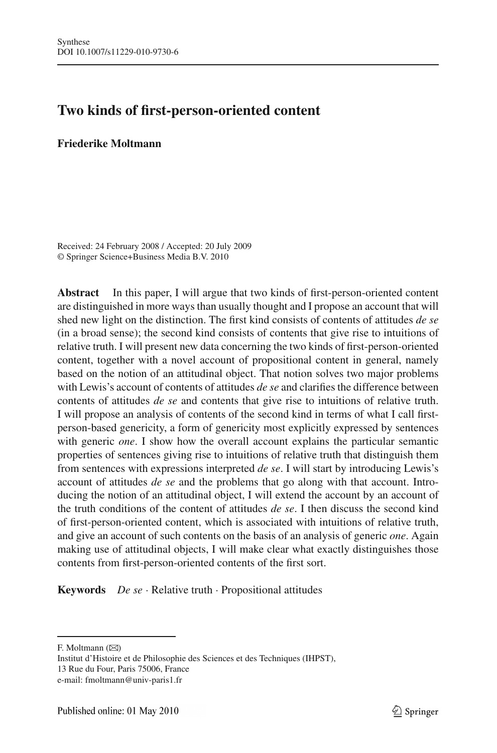# **Two kinds of first-person-oriented content**

### **Friederike Moltmann**

Received: 24 February 2008 / Accepted: 20 July 2009 © Springer Science+Business Media B.V. 2010

**Abstract** In this paper, I will argue that two kinds of first-person-oriented content are distinguished in more ways than usually thought and I propose an account that will shed new light on the distinction. The first kind consists of contents of attitudes *de se* (in a broad sense); the second kind consists of contents that give rise to intuitions of relative truth. I will present new data concerning the two kinds of first-person-oriented content, together with a novel account of propositional content in general, namely based on the notion of an attitudinal object. That notion solves two major problems with Lewis's account of contents of attitudes *de se* and clarifies the difference between contents of attitudes *de se* and contents that give rise to intuitions of relative truth. I will propose an analysis of contents of the second kind in terms of what I call firstperson-based genericity, a form of genericity most explicitly expressed by sentences with generic *one*. I show how the overall account explains the particular semantic properties of sentences giving rise to intuitions of relative truth that distinguish them from sentences with expressions interpreted *de se*. I will start by introducing Lewis's account of attitudes *de se* and the problems that go along with that account. Introducing the notion of an attitudinal object, I will extend the account by an account of the truth conditions of the content of attitudes *de se*. I then discuss the second kind of first-person-oriented content, which is associated with intuitions of relative truth, and give an account of such contents on the basis of an analysis of generic *one*. Again making use of attitudinal objects, I will make clear what exactly distinguishes those contents from first-person-oriented contents of the first sort.

**Keywords** *De se* · Relative truth · Propositional attitudes

F. Moltmann  $(\boxtimes)$ 

Institut d'Histoire et de Philosophie des Sciences et des Techniques (IHPST), 13 Rue du Four, Paris 75006, France

e-mail: fmoltmann@univ-paris1.fr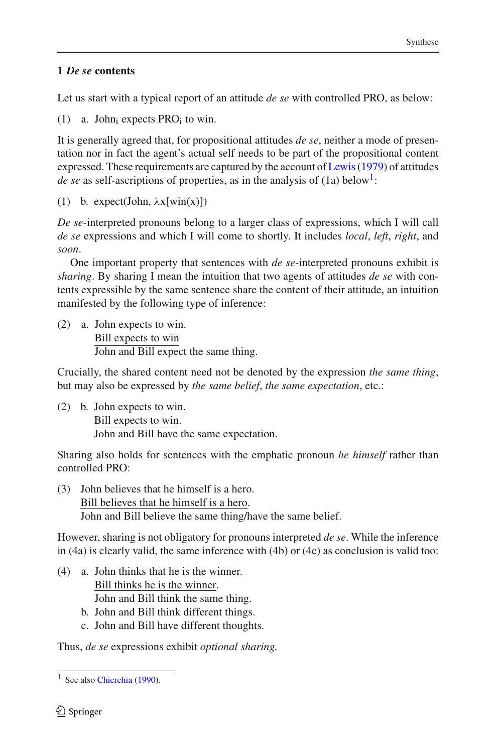# **1** *De se* **contents**

Let us start with a typical report of an attitude *de se* with controlled PRO, as below:

(1) a. John<sub>i</sub> expects PRO<sub>i</sub> to win.

It is generally agreed that, for propositional attitudes *de se*, neither a mode of presentation nor in fact the agent's actual self needs to be part of the propositional content expressed. These requirements are captured by the account of [Lewis\(1979](#page-20-0)) of attitudes *de se* as self-ascriptions of properties, as in the analysis of  $(1a)$  below<sup>1</sup>:

(1) b. expect(John,  $\lambda x$ [win(x)])

*De se*-interpreted pronouns belong to a larger class of expressions, which I will call *de se* expressions and which I will come to shortly. It includes *local*, *left*, *right*, and *soon*.

One important property that sentences with *de se*-interpreted pronouns exhibit is *sharing*. By sharing I mean the intuition that two agents of attitudes *de se* with contents expressible by the same sentence share the content of their attitude, an intuition manifested by the following type of inference:

(2) a. John expects to win. Bill expects to win John and Bill expect the same thing.

Crucially, the shared content need not be denoted by the expression *the same thing*, but may also be expressed by *the same belief*, *the same expectation*, etc.:

(2) b. John expects to win. Bill expects to win. John and Bill have the same expectation.

Sharing also holds for sentences with the emphatic pronoun *he himself* rather than controlled PRO:

(3) John believes that he himself is a hero. Bill believes that he himself is a hero. John and Bill believe the same thing/have the same belief.

However, sharing is not obligatory for pronouns interpreted *de se*. While the inference in (4a) is clearly valid, the same inference with (4b) or (4c) as conclusion is valid too:

- (4) a. John thinks that he is the winner. Bill thinks he is the winner. John and Bill think the same thing.
	- b. John and Bill think different things.
	- c. John and Bill have different thoughts.

Thus, *de se* expressions exhibit *optional sharing.*

<span id="page-1-0"></span><sup>&</sup>lt;sup>1</sup> See also [Chierchia](#page-19-0) [\(1990\)](#page-19-0).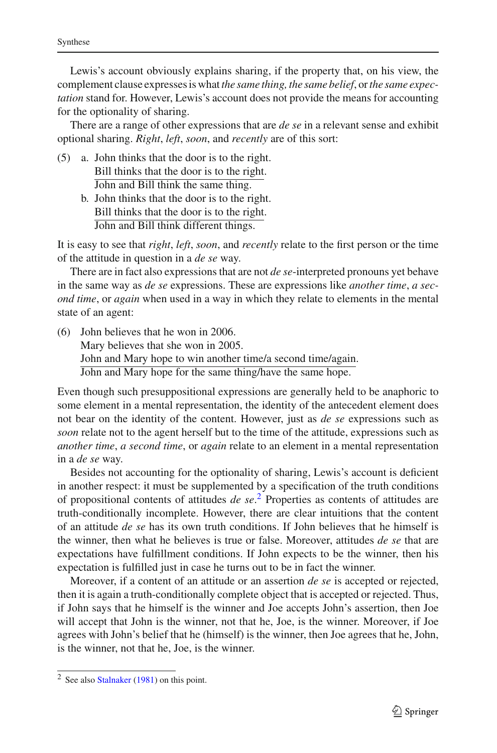Lewis's account obviously explains sharing, if the property that, on his view, the complement clause expresses is what *the same thing, the same belief*, or*the same expectation* stand for. However, Lewis's account does not provide the means for accounting for the optionality of sharing.

There are a range of other expressions that are *de se* in a relevant sense and exhibit optional sharing. *Right*, *left*, *soon*, and *recently* are of this sort:

- (5) a. John thinks that the door is to the right. Bill thinks that the door is to the right. John and Bill think the same thing.
	- b. John thinks that the door is to the right. Bill thinks that the door is to the right. John and Bill think different things.

It is easy to see that *right*, *left*, *soon*, and *recently* relate to the first person or the time of the attitude in question in a *de se* way.

There are in fact also expressions that are not *de se*-interpreted pronouns yet behave in the same way as *de se* expressions. These are expressions like *another time*, *a second time*, or *again* when used in a way in which they relate to elements in the mental state of an agent:

(6) John believes that he won in 2006. Mary believes that she won in 2005. John and Mary hope to win another time/a second time/again. John and Mary hope for the same thing/have the same hope.

Even though such presuppositional expressions are generally held to be anaphoric to some element in a mental representation, the identity of the antecedent element does not bear on the identity of the content. However, just as *de se* expressions such as *soon* relate not to the agent herself but to the time of the attitude, expressions such as *another time*, *a second time*, or *again* relate to an element in a mental representation in a *de se* way.

Besides not accounting for the optionality of sharing, Lewis's account is deficient in another respect: it must be supplemented by a specification of the truth conditions of propositional contents of attitudes *de se*. [2](#page-2-0) Properties as contents of attitudes are truth-conditionally incomplete. However, there are clear intuitions that the content of an attitude *de se* has its own truth conditions. If John believes that he himself is the winner, then what he believes is true or false. Moreover, attitudes *de se* that are expectations have fulfillment conditions. If John expects to be the winner, then his expectation is fulfilled just in case he turns out to be in fact the winner.

Moreover, if a content of an attitude or an assertion *de se* is accepted or rejected, then it is again a truth-conditionally complete object that is accepted or rejected. Thus, if John says that he himself is the winner and Joe accepts John's assertion, then Joe will accept that John is the winner, not that he, Joe, is the winner. Moreover, if Joe agrees with John's belief that he (himself) is the winner, then Joe agrees that he, John, is the winner, not that he, Joe, is the winner.

<span id="page-2-0"></span><sup>2</sup> See also [Stalnaker](#page-20-1) [\(1981\)](#page-20-1) on this point.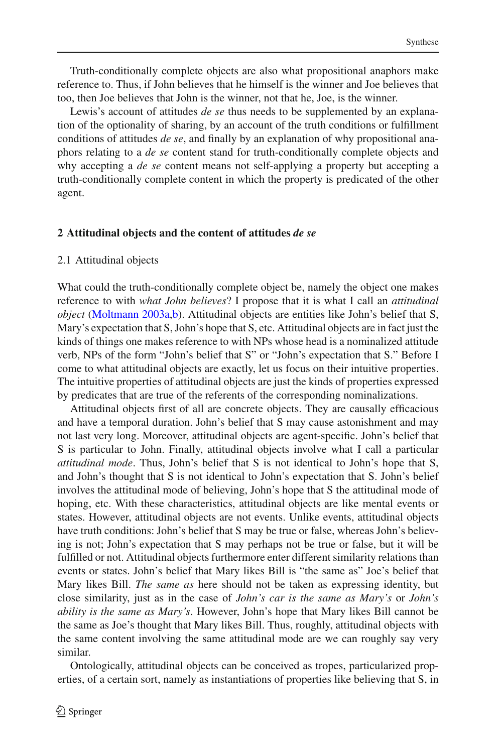Truth-conditionally complete objects are also what propositional anaphors make reference to. Thus, if John believes that he himself is the winner and Joe believes that too, then Joe believes that John is the winner, not that he, Joe, is the winner.

Lewis's account of attitudes *de se* thus needs to be supplemented by an explanation of the optionality of sharing, by an account of the truth conditions or fulfillment conditions of attitudes *de se*, and finally by an explanation of why propositional anaphors relating to a *de se* content stand for truth-conditionally complete objects and why accepting a *de se* content means not self-applying a property but accepting a truth-conditionally complete content in which the property is predicated of the other agent.

### **2 Attitudinal objects and the content of attitudes** *de se*

#### 2.1 Attitudinal objects

What could the truth-conditionally complete object be, namely the object one makes reference to with *what John believes*? I propose that it is what I call an *attitudinal object* [\(Moltmann 2003a](#page-20-2)[,b\)](#page-20-3). Attitudinal objects are entities like John's belief that S, Mary's expectation that S, John's hope that S, etc. Attitudinal objects are in fact just the kinds of things one makes reference to with NPs whose head is a nominalized attitude verb, NPs of the form "John's belief that S" or "John's expectation that S." Before I come to what attitudinal objects are exactly, let us focus on their intuitive properties. The intuitive properties of attitudinal objects are just the kinds of properties expressed by predicates that are true of the referents of the corresponding nominalizations.

Attitudinal objects first of all are concrete objects. They are causally efficacious and have a temporal duration. John's belief that S may cause astonishment and may not last very long. Moreover, attitudinal objects are agent-specific. John's belief that S is particular to John. Finally, attitudinal objects involve what I call a particular *attitudinal mode*. Thus, John's belief that S is not identical to John's hope that S, and John's thought that S is not identical to John's expectation that S. John's belief involves the attitudinal mode of believing, John's hope that S the attitudinal mode of hoping, etc. With these characteristics, attitudinal objects are like mental events or states. However, attitudinal objects are not events. Unlike events, attitudinal objects have truth conditions: John's belief that S may be true or false, whereas John's believing is not; John's expectation that S may perhaps not be true or false, but it will be fulfilled or not. Attitudinal objects furthermore enter different similarity relations than events or states. John's belief that Mary likes Bill is "the same as" Joe's belief that Mary likes Bill. *The same as* here should not be taken as expressing identity, but close similarity, just as in the case of *John's car is the same as Mary's* or *John's ability is the same as Mary's*. However, John's hope that Mary likes Bill cannot be the same as Joe's thought that Mary likes Bill. Thus, roughly, attitudinal objects with the same content involving the same attitudinal mode are we can roughly say very similar.

Ontologically, attitudinal objects can be conceived as tropes, particularized properties, of a certain sort, namely as instantiations of properties like believing that S, in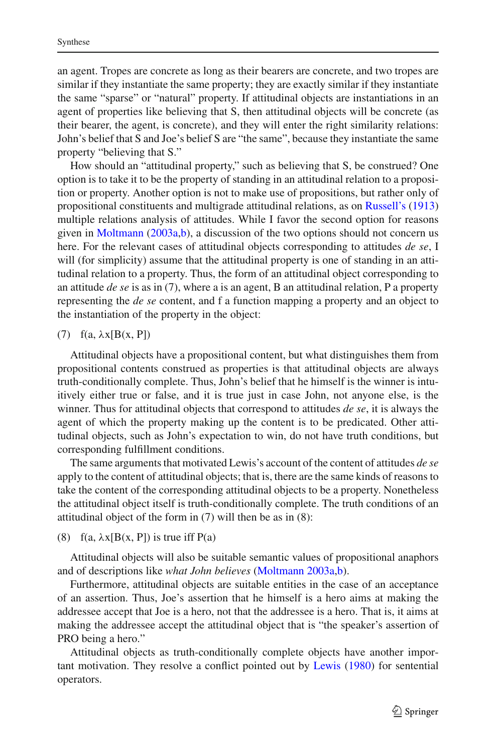an agent. Tropes are concrete as long as their bearers are concrete, and two tropes are similar if they instantiate the same property; they are exactly similar if they instantiate the same "sparse" or "natural" property. If attitudinal objects are instantiations in an agent of properties like believing that S, then attitudinal objects will be concrete (as their bearer, the agent, is concrete), and they will enter the right similarity relations: John's belief that S and Joe's belief S are "the same", because they instantiate the same property "believing that S."

How should an "attitudinal property," such as believing that S, be construed? One option is to take it to be the property of standing in an attitudinal relation to a proposition or property. Another option is not to make use of propositions, but rather only of propositional constituents and multigrade attitudinal relations, as on [Russell's](#page-20-4) [\(1913\)](#page-20-4) multiple relations analysis of attitudes. While I favor the second option for reasons given in [Moltmann](#page-20-2) [\(2003a](#page-20-2)[,b\)](#page-20-3), a discussion of the two options should not concern us here. For the relevant cases of attitudinal objects corresponding to attitudes *de se*, I will (for simplicity) assume that the attitudinal property is one of standing in an attitudinal relation to a property. Thus, the form of an attitudinal object corresponding to an attitude *de se* is as in (7), where a is an agent, B an attitudinal relation, P a property representing the *de se* content, and f a function mapping a property and an object to the instantiation of the property in the object:

#### (7)  $f(a, \lambda x[B(x, P])$

Attitudinal objects have a propositional content, but what distinguishes them from propositional contents construed as properties is that attitudinal objects are always truth-conditionally complete. Thus, John's belief that he himself is the winner is intuitively either true or false, and it is true just in case John, not anyone else, is the winner. Thus for attitudinal objects that correspond to attitudes *de se*, it is always the agent of which the property making up the content is to be predicated. Other attitudinal objects, such as John's expectation to win, do not have truth conditions, but corresponding fulfillment conditions.

The same arguments that motivated Lewis's account of the content of attitudes *de se* apply to the content of attitudinal objects; that is, there are the same kinds of reasons to take the content of the corresponding attitudinal objects to be a property. Nonetheless the attitudinal object itself is truth-conditionally complete. The truth conditions of an attitudinal object of the form in (7) will then be as in (8):

(8) f(a,  $\lambda x[B(x, P])$  is true iff P(a)

Attitudinal objects will also be suitable semantic values of propositional anaphors and of descriptions like *what John believes* [\(Moltmann 2003a](#page-20-2)[,b](#page-20-3)).

Furthermore, attitudinal objects are suitable entities in the case of an acceptance of an assertion. Thus, Joe's assertion that he himself is a hero aims at making the addressee accept that Joe is a hero, not that the addressee is a hero. That is, it aims at making the addressee accept the attitudinal object that is "the speaker's assertion of PRO being a hero."

Attitudinal objects as truth-conditionally complete objects have another important motivation. They resolve a conflict pointed out by [Lewis](#page-20-5) [\(1980](#page-20-5)) for sentential operators.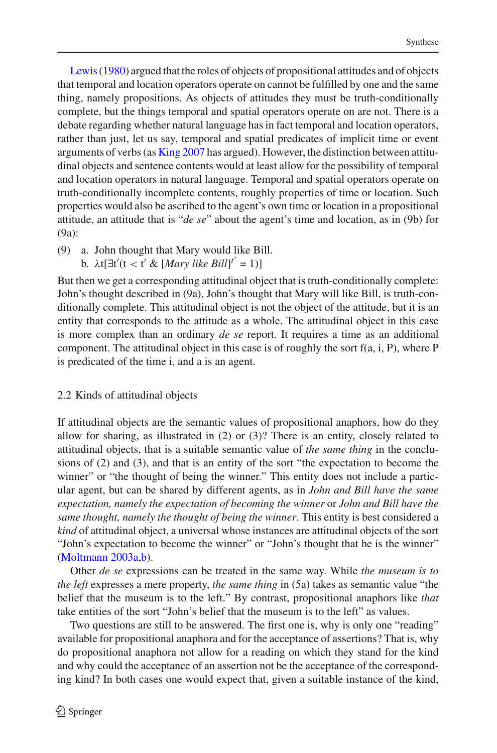Lewis[\(1980\)](#page-20-5) argued that the roles of objects of propositional attitudes and of objects that temporal and location operators operate on cannot be fulfilled by one and the same thing, namely propositions. As objects of attitudes they must be truth-conditionally complete, but the things temporal and spatial operators operate on are not. There is a debate regarding whether natural language has in fact temporal and location operators, rather than just, let us say, temporal and spatial predicates of implicit time or event arguments of verbs (as [King 2007](#page-19-1) has argued). However, the distinction between attitudinal objects and sentence contents would at least allow for the possibility of temporal and location operators in natural language. Temporal and spatial operators operate on truth-conditionally incomplete contents, roughly properties of time or location. Such properties would also be ascribed to the agent's own time or location in a propositional attitude, an attitude that is "*de se*" about the agent's time and location, as in (9b) for (9a):

(9) a. John thought that Mary would like Bill.

b.  $\lambda t[\exists t'(t < t' \& [Mary like Bill']^t' = 1)]$ 

But then we get a corresponding attitudinal object that is truth-conditionally complete: John's thought described in (9a), John's thought that Mary will like Bill, is truth-conditionally complete. This attitudinal object is not the object of the attitude, but it is an entity that corresponds to the attitude as a whole. The attitudinal object in this case is more complex than an ordinary *de se* report. It requires a time as an additional component. The attitudinal object in this case is of roughly the sort  $f(a, i, P)$ , where P is predicated of the time i, and a is an agent.

### 2.2 Kinds of attitudinal objects

If attitudinal objects are the semantic values of propositional anaphors, how do they allow for sharing, as illustrated in  $(2)$  or  $(3)$ ? There is an entity, closely related to attitudinal objects, that is a suitable semantic value of *the same thing* in the conclusions of (2) and (3), and that is an entity of the sort "the expectation to become the winner" or "the thought of being the winner." This entity does not include a particular agent, but can be shared by different agents, as in *John and Bill have the same expectation, namely the expectation of becoming the winner* or *John and Bill have the same thought, namely the thought of being the winner*. This entity is best considered a *kind* of attitudinal object, a universal whose instances are attitudinal objects of the sort "John's expectation to become the winner" or "John's thought that he is the winner" [\(Moltmann 2003a](#page-20-2)[,b\)](#page-20-3).

Other *de se* expressions can be treated in the same way. While *the museum is to the left* expresses a mere property, *the same thing* in (5a) takes as semantic value "the belief that the museum is to the left." By contrast, propositional anaphors like *that* take entities of the sort "John's belief that the museum is to the left" as values.

Two questions are still to be answered. The first one is, why is only one "reading" available for propositional anaphora and for the acceptance of assertions? That is, why do propositional anaphora not allow for a reading on which they stand for the kind and why could the acceptance of an assertion not be the acceptance of the corresponding kind? In both cases one would expect that, given a suitable instance of the kind,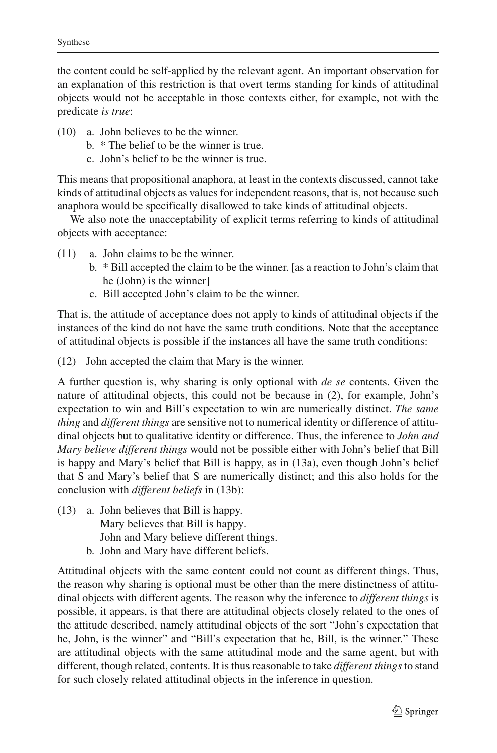the content could be self-applied by the relevant agent. An important observation for an explanation of this restriction is that overt terms standing for kinds of attitudinal objects would not be acceptable in those contexts either, for example, not with the predicate *is true*:

- (10) a. John believes to be the winner.
	- b. \* The belief to be the winner is true.
	- c. John's belief to be the winner is true.

This means that propositional anaphora, at least in the contexts discussed, cannot take kinds of attitudinal objects as values for independent reasons, that is, not because such anaphora would be specifically disallowed to take kinds of attitudinal objects.

We also note the unacceptability of explicit terms referring to kinds of attitudinal objects with acceptance:

- (11) a. John claims to be the winner.
	- b. \* Bill accepted the claim to be the winner. [as a reaction to John's claim that he (John) is the winner]
	- c. Bill accepted John's claim to be the winner.

That is, the attitude of acceptance does not apply to kinds of attitudinal objects if the instances of the kind do not have the same truth conditions. Note that the acceptance of attitudinal objects is possible if the instances all have the same truth conditions:

(12) John accepted the claim that Mary is the winner.

A further question is, why sharing is only optional with *de se* contents. Given the nature of attitudinal objects, this could not be because in (2), for example, John's expectation to win and Bill's expectation to win are numerically distinct. *The same thing* and *different things* are sensitive not to numerical identity or difference of attitudinal objects but to qualitative identity or difference. Thus, the inference to *John and Mary believe different things* would not be possible either with John's belief that Bill is happy and Mary's belief that Bill is happy, as in (13a), even though John's belief that S and Mary's belief that S are numerically distinct; and this also holds for the conclusion with *different beliefs* in (13b):

- (13) a. John believes that Bill is happy. Mary believes that Bill is happy. John and Mary believe different things.
	- b. John and Mary have different beliefs.

Attitudinal objects with the same content could not count as different things. Thus, the reason why sharing is optional must be other than the mere distinctness of attitudinal objects with different agents. The reason why the inference to *different things* is possible, it appears, is that there are attitudinal objects closely related to the ones of the attitude described, namely attitudinal objects of the sort "John's expectation that he, John, is the winner" and "Bill's expectation that he, Bill, is the winner." These are attitudinal objects with the same attitudinal mode and the same agent, but with different, though related, contents. It is thus reasonable to take *different things*to stand for such closely related attitudinal objects in the inference in question.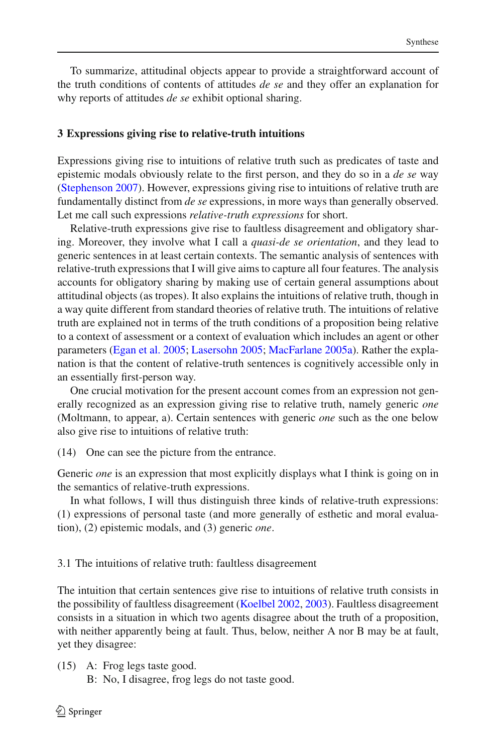To summarize, attitudinal objects appear to provide a straightforward account of the truth conditions of contents of attitudes *de se* and they offer an explanation for why reports of attitudes *de se* exhibit optional sharing.

#### **3 Expressions giving rise to relative-truth intuitions**

Expressions giving rise to intuitions of relative truth such as predicates of taste and epistemic modals obviously relate to the first person, and they do so in a *de se* way [\(Stephenson 2007](#page-20-6)). However, expressions giving rise to intuitions of relative truth are fundamentally distinct from *de se* expressions, in more ways than generally observed. Let me call such expressions *relative-truth expressions* for short.

Relative-truth expressions give rise to faultless disagreement and obligatory sharing. Moreover, they involve what I call a *quasi-de se orientation*, and they lead to generic sentences in at least certain contexts. The semantic analysis of sentences with relative-truth expressions that I will give aims to capture all four features. The analysis accounts for obligatory sharing by making use of certain general assumptions about attitudinal objects (as tropes). It also explains the intuitions of relative truth, though in a way quite different from standard theories of relative truth. The intuitions of relative truth are explained not in terms of the truth conditions of a proposition being relative to a context of assessment or a context of evaluation which includes an agent or other parameters [\(Egan et al. 2005](#page-19-2); [Lasersohn 2005;](#page-20-7) [MacFarlane 2005a\)](#page-20-8). Rather the explanation is that the content of relative-truth sentences is cognitively accessible only in an essentially first-person way.

One crucial motivation for the present account comes from an expression not generally recognized as an expression giving rise to relative truth, namely generic *one* (Moltmann, to appear, a). Certain sentences with generic *one* such as the one below also give rise to intuitions of relative truth:

(14) One can see the picture from the entrance.

Generic *one* is an expression that most explicitly displays what I think is going on in the semantics of relative-truth expressions.

In what follows, I will thus distinguish three kinds of relative-truth expressions: (1) expressions of personal taste (and more generally of esthetic and moral evaluation), (2) epistemic modals, and (3) generic *one*.

3.1 The intuitions of relative truth: faultless disagreement

The intuition that certain sentences give rise to intuitions of relative truth consists in the possibility of faultless disagreement [\(Koelbel 2002](#page-20-9), [2003\)](#page-20-10). Faultless disagreement consists in a situation in which two agents disagree about the truth of a proposition, with neither apparently being at fault. Thus, below, neither A nor B may be at fault, yet they disagree:

(15) A: Frog legs taste good.

B: No, I disagree, frog legs do not taste good.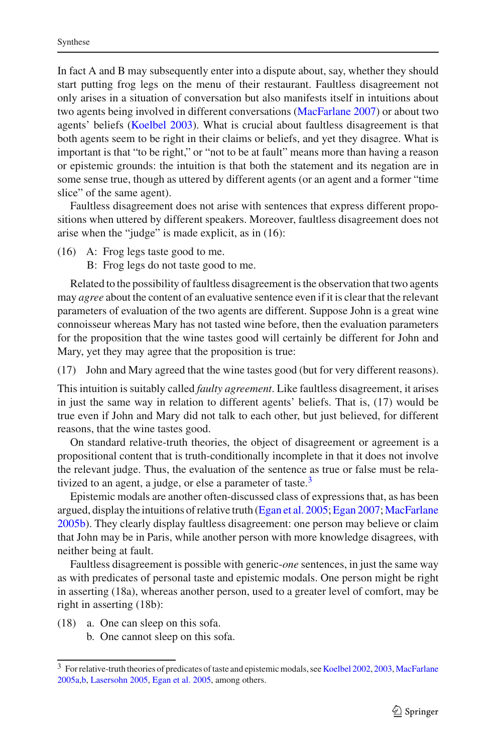In fact A and B may subsequently enter into a dispute about, say, whether they should start putting frog legs on the menu of their restaurant. Faultless disagreement not only arises in a situation of conversation but also manifests itself in intuitions about two agents being involved in different conversations [\(MacFarlane 2007\)](#page-20-11) or about two agents' beliefs [\(Koelbel 2003](#page-20-10)). What is crucial about faultless disagreement is that both agents seem to be right in their claims or beliefs, and yet they disagree. What is important is that "to be right," or "not to be at fault" means more than having a reason or epistemic grounds: the intuition is that both the statement and its negation are in some sense true, though as uttered by different agents (or an agent and a former "time slice" of the same agent).

Faultless disagreement does not arise with sentences that express different propositions when uttered by different speakers. Moreover, faultless disagreement does not arise when the "judge" is made explicit, as in (16):

(16) A: Frog legs taste good to me.

B: Frog legs do not taste good to me.

Related to the possibility of faultless disagreement is the observation that two agents may *agree* about the content of an evaluative sentence even if it is clear that the relevant parameters of evaluation of the two agents are different. Suppose John is a great wine connoisseur whereas Mary has not tasted wine before, then the evaluation parameters for the proposition that the wine tastes good will certainly be different for John and Mary, yet they may agree that the proposition is true:

(17) John and Mary agreed that the wine tastes good (but for very different reasons).

This intuition is suitably called *faulty agreement*. Like faultless disagreement, it arises in just the same way in relation to different agents' beliefs. That is, (17) would be true even if John and Mary did not talk to each other, but just believed, for different reasons, that the wine tastes good.

On standard relative-truth theories, the object of disagreement or agreement is a propositional content that is truth-conditionally incomplete in that it does not involve the relevant judge. Thus, the evaluation of the sentence as true or false must be relativized to an agent, a judge, or else a parameter of taste. $3$ 

Epistemic modals are another often-discussed class of expressions that, as has been argued, display the intuitions of relative truth [\(Egan et al. 2005](#page-19-2); [Egan 2007](#page-19-3); [MacFarlane](#page-20-12) [2005b\)](#page-20-12). They clearly display faultless disagreement: one person may believe or claim that John may be in Paris, while another person with more knowledge disagrees, with neither being at fault.

Faultless disagreement is possible with generic-*one* sentences, in just the same way as with predicates of personal taste and epistemic modals. One person might be right in asserting (18a), whereas another person, used to a greater level of comfort, may be right in asserting (18b):

- (18) a. One can sleep on this sofa.
	- b. One cannot sleep on this sofa.

<span id="page-8-0"></span><sup>&</sup>lt;sup>3</sup> For relative-truth theories of predicates of taste and epistemic modals, see [Koelbel 2002,](#page-20-9) [2003,](#page-20-10) [MacFarlane](#page-20-8) [2005a](#page-20-8)[,b](#page-20-12), [Lasersohn 2005,](#page-20-7) [Egan et al. 2005,](#page-19-2) among others.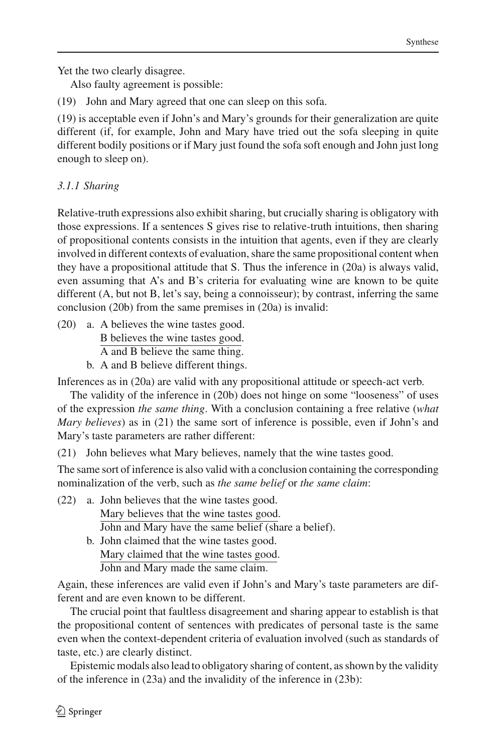Yet the two clearly disagree.

Also faulty agreement is possible:

(19) John and Mary agreed that one can sleep on this sofa.

(19) is acceptable even if John's and Mary's grounds for their generalization are quite different (if, for example, John and Mary have tried out the sofa sleeping in quite different bodily positions or if Mary just found the sofa soft enough and John just long enough to sleep on).

*3.1.1 Sharing*

Relative-truth expressions also exhibit sharing, but crucially sharing is obligatory with those expressions. If a sentences S gives rise to relative-truth intuitions, then sharing of propositional contents consists in the intuition that agents, even if they are clearly involved in different contexts of evaluation, share the same propositional content when they have a propositional attitude that S. Thus the inference in (20a) is always valid, even assuming that A's and B's criteria for evaluating wine are known to be quite different (A, but not B, let's say, being a connoisseur); by contrast, inferring the same conclusion (20b) from the same premises in (20a) is invalid:

(20) a. A believes the wine tastes good.

B believes the wine tastes good.

A and B believe the same thing.

b. A and B believe different things.

Inferences as in (20a) are valid with any propositional attitude or speech-act verb.

The validity of the inference in (20b) does not hinge on some "looseness" of uses of the expression *the same thing*. With a conclusion containing a free relative (*what Mary believes*) as in (21) the same sort of inference is possible, even if John's and Mary's taste parameters are rather different:

(21) John believes what Mary believes, namely that the wine tastes good.

The same sort of inference is also valid with a conclusion containing the corresponding nominalization of the verb, such as *the same belief* or *the same claim*:

- (22) a. John believes that the wine tastes good. Mary believes that the wine tastes good. John and Mary have the same belief (share a belief).
	- b. John claimed that the wine tastes good. Mary claimed that the wine tastes good. John and Mary made the same claim.

Again, these inferences are valid even if John's and Mary's taste parameters are different and are even known to be different.

The crucial point that faultless disagreement and sharing appear to establish is that the propositional content of sentences with predicates of personal taste is the same even when the context-dependent criteria of evaluation involved (such as standards of taste, etc.) are clearly distinct.

Epistemic modals also lead to obligatory sharing of content, as shown by the validity of the inference in (23a) and the invalidity of the inference in (23b):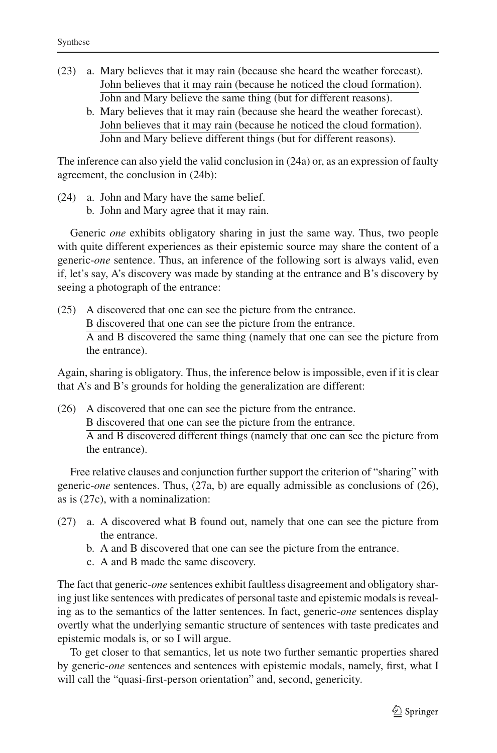- (23) a. Mary believes that it may rain (because she heard the weather forecast). John believes that it may rain (because he noticed the cloud formation). John and Mary believe the same thing (but for different reasons).
	- b. Mary believes that it may rain (because she heard the weather forecast). John believes that it may rain (because he noticed the cloud formation). John and Mary believe different things (but for different reasons).

The inference can also yield the valid conclusion in (24a) or, as an expression of faulty agreement, the conclusion in (24b):

(24) a. John and Mary have the same belief. b. John and Mary agree that it may rain.

Generic *one* exhibits obligatory sharing in just the same way. Thus, two people with quite different experiences as their epistemic source may share the content of a generic-*one* sentence. Thus, an inference of the following sort is always valid, even if, let's say, A's discovery was made by standing at the entrance and B's discovery by seeing a photograph of the entrance:

(25) A discovered that one can see the picture from the entrance. B discovered that one can see the picture from the entrance. A and B discovered the same thing (namely that one can see the picture from the entrance).

Again, sharing is obligatory. Thus, the inference below is impossible, even if it is clear that A's and B's grounds for holding the generalization are different:

(26) A discovered that one can see the picture from the entrance. B discovered that one can see the picture from the entrance. A and B discovered different things (namely that one can see the picture from the entrance).

Free relative clauses and conjunction further support the criterion of "sharing" with generic-*one* sentences. Thus, (27a, b) are equally admissible as conclusions of (26), as is (27c), with a nominalization:

- (27) a. A discovered what B found out, namely that one can see the picture from the entrance.
	- b. A and B discovered that one can see the picture from the entrance.
	- c. A and B made the same discovery.

The fact that generic-*one* sentences exhibit faultless disagreement and obligatory sharing just like sentences with predicates of personal taste and epistemic modals is revealing as to the semantics of the latter sentences. In fact, generic-*one* sentences display overtly what the underlying semantic structure of sentences with taste predicates and epistemic modals is, or so I will argue.

To get closer to that semantics, let us note two further semantic properties shared by generic-*one* sentences and sentences with epistemic modals, namely, first, what I will call the "quasi-first-person orientation" and, second, genericity.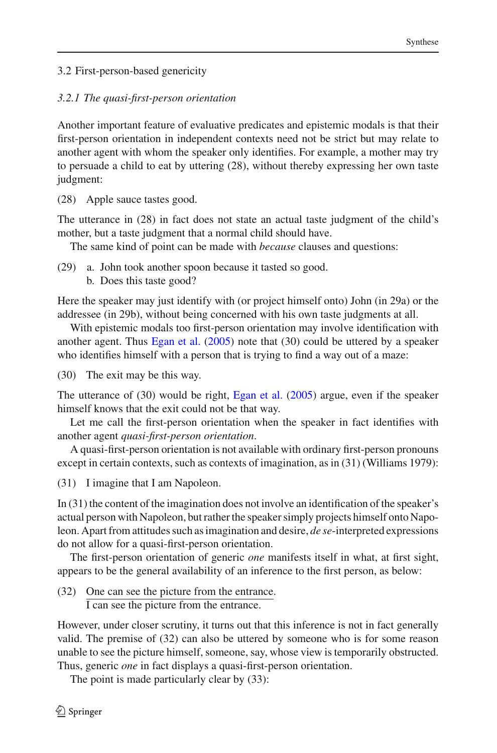# 3.2 First-person-based genericity

# *3.2.1 The quasi-first-person orientation*

Another important feature of evaluative predicates and epistemic modals is that their first-person orientation in independent contexts need not be strict but may relate to another agent with whom the speaker only identifies. For example, a mother may try to persuade a child to eat by uttering (28), without thereby expressing her own taste judgment:

(28) Apple sauce tastes good.

The utterance in (28) in fact does not state an actual taste judgment of the child's mother, but a taste judgment that a normal child should have.

The same kind of point can be made with *because* clauses and questions:

(29) a. John took another spoon because it tasted so good. b. Does this taste good?

Here the speaker may just identify with (or project himself onto) John (in 29a) or the addressee (in 29b), without being concerned with his own taste judgments at all.

With epistemic modals too first-person orientation may involve identification with another agent. Thus [Egan et al.](#page-19-2)  $(2005)$  note that  $(30)$  could be uttered by a speaker who identifies himself with a person that is trying to find a way out of a maze:

(30) The exit may be this way.

The utterance of  $(30)$  would be right, [Egan et al.](#page-19-2)  $(2005)$  argue, even if the speaker himself knows that the exit could not be that way.

Let me call the first-person orientation when the speaker in fact identifies with another agent *quasi-first-person orientation*.

A quasi-first-person orientation is not available with ordinary first-person pronouns except in certain contexts, such as contexts of imagination, as in (31) (Williams 1979):

(31) I imagine that I am Napoleon.

In (31) the content of the imagination does not involve an identification of the speaker's actual person with Napoleon, but rather the speaker simply projects himself onto Napoleon. Apart from attitudes such as imagination and desire, *de se*-interpreted expressions do not allow for a quasi-first-person orientation.

The first-person orientation of generic *one* manifests itself in what, at first sight, appears to be the general availability of an inference to the first person, as below:

(32) One can see the picture from the entrance. I can see the picture from the entrance.

However, under closer scrutiny, it turns out that this inference is not in fact generally valid. The premise of (32) can also be uttered by someone who is for some reason unable to see the picture himself, someone, say, whose view is temporarily obstructed. Thus, generic *one* in fact displays a quasi-first-person orientation.

The point is made particularly clear by (33):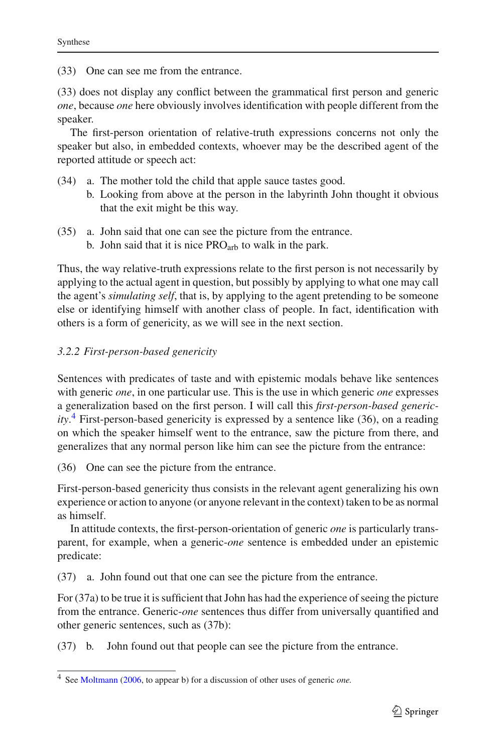(33) One can see me from the entrance.

(33) does not display any conflict between the grammatical first person and generic *one*, because *one* here obviously involves identification with people different from the speaker.

The first-person orientation of relative-truth expressions concerns not only the speaker but also, in embedded contexts, whoever may be the described agent of the reported attitude or speech act:

- (34) a. The mother told the child that apple sauce tastes good.
	- b. Looking from above at the person in the labyrinth John thought it obvious that the exit might be this way.
- (35) a. John said that one can see the picture from the entrance. b. John said that it is nice  $PRO<sub>arb</sub>$  to walk in the park.

Thus, the way relative-truth expressions relate to the first person is not necessarily by applying to the actual agent in question, but possibly by applying to what one may call the agent's *simulating self*, that is, by applying to the agent pretending to be someone else or identifying himself with another class of people. In fact, identification with others is a form of genericity, as we will see in the next section.

#### *3.2.2 First-person-based genericity*

Sentences with predicates of taste and with epistemic modals behave like sentences with generic *one*, in one particular use. This is the use in which generic *one* expresses a generalization based on the first person. I will call this *first-person-based genericity*. [4](#page-12-0) First-person-based genericity is expressed by a sentence like (36), on a reading on which the speaker himself went to the entrance, saw the picture from there, and generalizes that any normal person like him can see the picture from the entrance:

(36) One can see the picture from the entrance.

First-person-based genericity thus consists in the relevant agent generalizing his own experience or action to anyone (or anyone relevant in the context) taken to be as normal as himself.

In attitude contexts, the first-person-orientation of generic *one* is particularly transparent, for example, when a generic-*one* sentence is embedded under an epistemic predicate:

(37) a. John found out that one can see the picture from the entrance.

For (37a) to be true it is sufficient that John has had the experience of seeing the picture from the entrance. Generic-*one* sentences thus differ from universally quantified and other generic sentences, such as (37b):

(37) b. John found out that people can see the picture from the entrance.

<span id="page-12-0"></span><sup>4</sup> See [Moltmann](#page-20-13) [\(2006](#page-20-13), to appear b) for a discussion of other uses of generic *one.*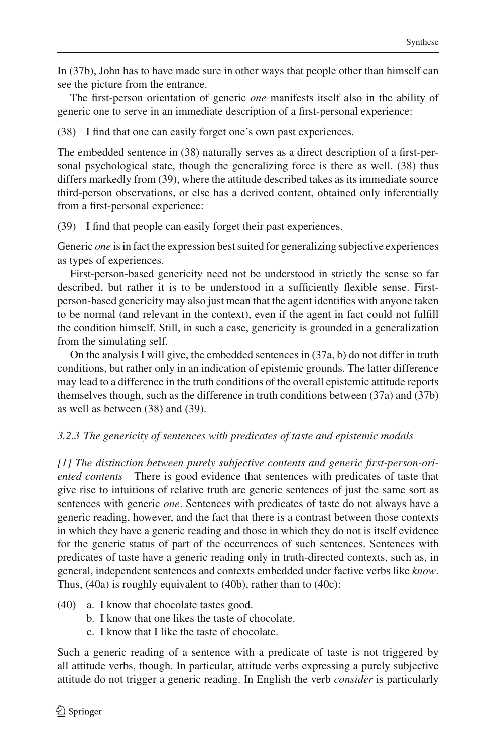In (37b), John has to have made sure in other ways that people other than himself can see the picture from the entrance.

The first-person orientation of generic *one* manifests itself also in the ability of generic one to serve in an immediate description of a first-personal experience:

(38) I find that one can easily forget one's own past experiences.

The embedded sentence in (38) naturally serves as a direct description of a first-personal psychological state, though the generalizing force is there as well. (38) thus differs markedly from (39), where the attitude described takes as its immediate source third-person observations, or else has a derived content, obtained only inferentially from a first-personal experience:

(39) I find that people can easily forget their past experiences.

Generic *one* is in fact the expression best suited for generalizing subjective experiences as types of experiences.

First-person-based genericity need not be understood in strictly the sense so far described, but rather it is to be understood in a sufficiently flexible sense. Firstperson-based genericity may also just mean that the agent identifies with anyone taken to be normal (and relevant in the context), even if the agent in fact could not fulfill the condition himself. Still, in such a case, genericity is grounded in a generalization from the simulating self.

On the analysis I will give, the embedded sentences in (37a, b) do not differ in truth conditions, but rather only in an indication of epistemic grounds. The latter difference may lead to a difference in the truth conditions of the overall epistemic attitude reports themselves though, such as the difference in truth conditions between (37a) and (37b) as well as between (38) and (39).

# *3.2.3 The genericity of sentences with predicates of taste and epistemic modals*

*[1] The distinction between purely subjective contents and generic first-person-oriented contents* There is good evidence that sentences with predicates of taste that give rise to intuitions of relative truth are generic sentences of just the same sort as sentences with generic *one*. Sentences with predicates of taste do not always have a generic reading, however, and the fact that there is a contrast between those contexts in which they have a generic reading and those in which they do not is itself evidence for the generic status of part of the occurrences of such sentences. Sentences with predicates of taste have a generic reading only in truth-directed contexts, such as, in general, independent sentences and contexts embedded under factive verbs like *know*. Thus, (40a) is roughly equivalent to (40b), rather than to (40c):

- (40) a. I know that chocolate tastes good.
	- b. I know that one likes the taste of chocolate.
	- c. I know that I like the taste of chocolate.

Such a generic reading of a sentence with a predicate of taste is not triggered by all attitude verbs, though. In particular, attitude verbs expressing a purely subjective attitude do not trigger a generic reading. In English the verb *consider* is particularly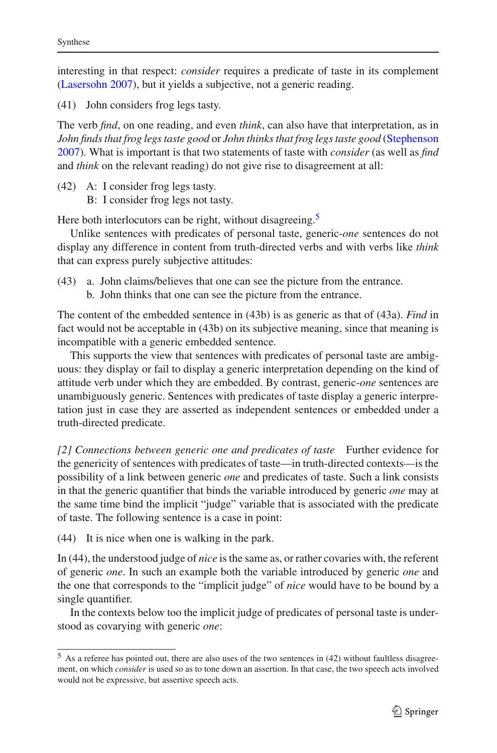interesting in that respect: *consider* requires a predicate of taste in its complement [\(Lasersohn 2007](#page-20-14)), but it yields a subjective, not a generic reading.

(41) John considers frog legs tasty.

The verb *find*, on one reading, and even *think*, can also have that interpretation, as in *John finds that frog legs taste good* or *John thinks that frog legs taste good* [\(Stephenson](#page-20-6) [2007\)](#page-20-6). What is important is that two statements of taste with *consider* (as well as *find* and *think* on the relevant reading) do not give rise to disagreement at all:

(42) A: I consider frog legs tasty.

B: I consider frog legs not tasty.

Here both interlocutors can be right, without disagreeing.<sup>[5](#page-14-0)</sup>

Unlike sentences with predicates of personal taste, generic-*one* sentences do not display any difference in content from truth-directed verbs and with verbs like *think* that can express purely subjective attitudes:

(43) a. John claims/believes that one can see the picture from the entrance. b. John thinks that one can see the picture from the entrance.

The content of the embedded sentence in (43b) is as generic as that of (43a). *Find* in fact would not be acceptable in (43b) on its subjective meaning, since that meaning is incompatible with a generic embedded sentence.

This supports the view that sentences with predicates of personal taste are ambiguous: they display or fail to display a generic interpretation depending on the kind of attitude verb under which they are embedded. By contrast, generic-*one* sentences are unambiguously generic. Sentences with predicates of taste display a generic interpretation just in case they are asserted as independent sentences or embedded under a truth-directed predicate.

*[2] Connections between generic one and predicates of taste* Further evidence for the genericity of sentences with predicates of taste—in truth-directed contexts—is the possibility of a link between generic *one* and predicates of taste. Such a link consists in that the generic quantifier that binds the variable introduced by generic *one* may at the same time bind the implicit "judge" variable that is associated with the predicate of taste. The following sentence is a case in point:

(44) It is nice when one is walking in the park.

In (44), the understood judge of *nice* is the same as, or rather covaries with, the referent of generic *one*. In such an example both the variable introduced by generic *one* and the one that corresponds to the "implicit judge" of *nice* would have to be bound by a single quantifier.

In the contexts below too the implicit judge of predicates of personal taste is understood as covarying with generic *one*:

<span id="page-14-0"></span><sup>5</sup> As a referee has pointed out, there are also uses of the two sentences in (42) without faultless disagreement, on which *consider* is used so as to tone down an assertion. In that case, the two speech acts involved would not be expressive, but assertive speech acts.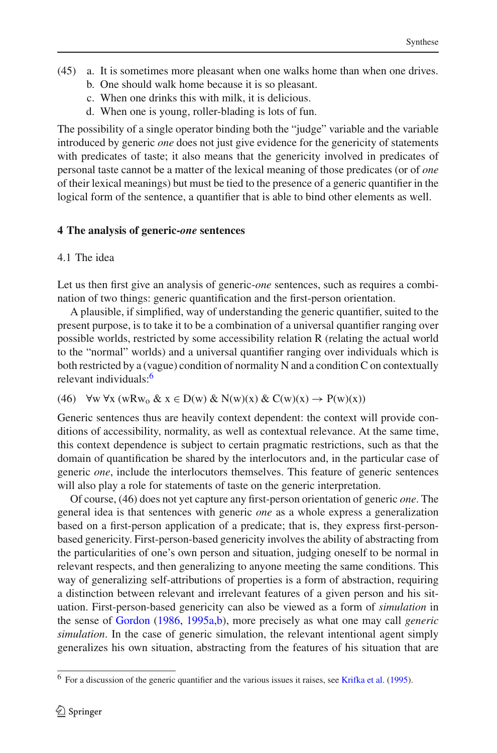- (45) a. It is sometimes more pleasant when one walks home than when one drives.
	- b. One should walk home because it is so pleasant.
	- c. When one drinks this with milk, it is delicious.
	- d. When one is young, roller-blading is lots of fun.

The possibility of a single operator binding both the "judge" variable and the variable introduced by generic *one* does not just give evidence for the genericity of statements with predicates of taste; it also means that the genericity involved in predicates of personal taste cannot be a matter of the lexical meaning of those predicates (or of *one* of their lexical meanings) but must be tied to the presence of a generic quantifier in the logical form of the sentence, a quantifier that is able to bind other elements as well.

# **4 The analysis of generic-***one* **sentences**

# 4.1 The idea

Let us then first give an analysis of generic-*one* sentences, such as requires a combination of two things: generic quantification and the first-person orientation.

A plausible, if simplified, way of understanding the generic quantifier, suited to the present purpose, is to take it to be a combination of a universal quantifier ranging over possible worlds, restricted by some accessibility relation R (relating the actual world to the "normal" worlds) and a universal quantifier ranging over individuals which is both restricted by a (vague) condition of normality N and a condition C on contextually relevant individuals[:6](#page-15-0)

(46)  $\forall w \forall x (wRw_0 \& x \in D(w) \& N(w)(x) \& C(w)(x) \rightarrow P(w)(x))$ 

Generic sentences thus are heavily context dependent: the context will provide conditions of accessibility, normality, as well as contextual relevance. At the same time, this context dependence is subject to certain pragmatic restrictions, such as that the domain of quantification be shared by the interlocutors and, in the particular case of generic *one*, include the interlocutors themselves. This feature of generic sentences will also play a role for statements of taste on the generic interpretation.

Of course, (46) does not yet capture any first-person orientation of generic *one*. The general idea is that sentences with generic *one* as a whole express a generalization based on a first-person application of a predicate; that is, they express first-personbased genericity. First-person-based genericity involves the ability of abstracting from the particularities of one's own person and situation, judging oneself to be normal in relevant respects, and then generalizing to anyone meeting the same conditions. This way of generalizing self-attributions of properties is a form of abstraction, requiring a distinction between relevant and irrelevant features of a given person and his situation. First-person-based genericity can also be viewed as a form of *simulation* in the sense of [Gordon](#page-19-4) [\(1986](#page-19-4), [1995a](#page-19-5)[,b\)](#page-19-6), more precisely as what one may call *generic simulation*. In the case of generic simulation, the relevant intentional agent simply generalizes his own situation, abstracting from the features of his situation that are

<span id="page-15-0"></span><sup>&</sup>lt;sup>6</sup> For a discussion of the generic quantifier and the various issues it raises, see [Krifka et al.](#page-20-15) [\(1995\)](#page-20-15).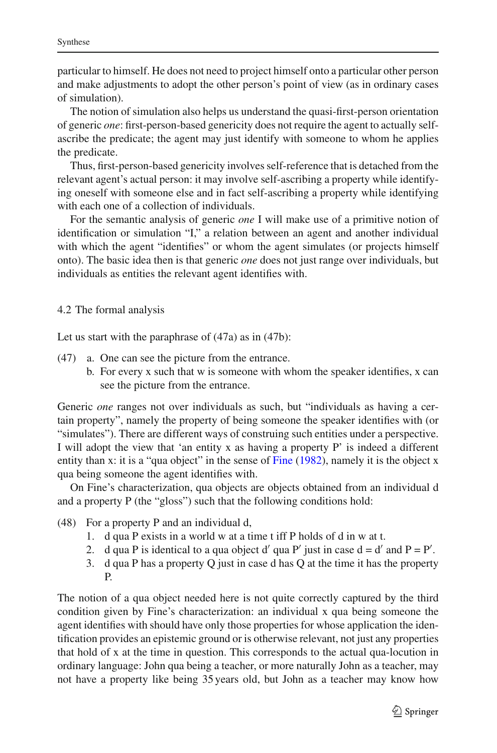particular to himself. He does not need to project himself onto a particular other person and make adjustments to adopt the other person's point of view (as in ordinary cases of simulation).

The notion of simulation also helps us understand the quasi-first-person orientation of generic *one*: first-person-based genericity does not require the agent to actually selfascribe the predicate; the agent may just identify with someone to whom he applies the predicate.

Thus, first-person-based genericity involves self-reference that is detached from the relevant agent's actual person: it may involve self-ascribing a property while identifying oneself with someone else and in fact self-ascribing a property while identifying with each one of a collection of individuals.

For the semantic analysis of generic *one* I will make use of a primitive notion of identification or simulation "I," a relation between an agent and another individual with which the agent "identifies" or whom the agent simulates (or projects himself onto). The basic idea then is that generic *one* does not just range over individuals, but individuals as entities the relevant agent identifies with.

4.2 The formal analysis

Let us start with the paraphrase of (47a) as in (47b):

- (47) a. One can see the picture from the entrance.
	- b. For every x such that w is someone with whom the speaker identifies, x can see the picture from the entrance.

Generic *one* ranges not over individuals as such, but "individuals as having a certain property", namely the property of being someone the speaker identifies with (or "simulates"). There are different ways of construing such entities under a perspective. I will adopt the view that 'an entity x as having a property P' is indeed a different entity than x: it is a "qua object" in the sense of [Fine](#page-19-7) [\(1982\)](#page-19-7), namely it is the object x qua being someone the agent identifies with.

On Fine's characterization, qua objects are objects obtained from an individual d and a property P (the "gloss") such that the following conditions hold:

- (48) For a property P and an individual d,
	- 1. d qua P exists in a world w at a time t iff P holds of d in w at t.
	- 2. d qua P is identical to a qua object d' qua P' just in case  $d = d'$  and  $P = P'$ .
	- 3. d qua P has a property Q just in case d has Q at the time it has the property P.

The notion of a qua object needed here is not quite correctly captured by the third condition given by Fine's characterization: an individual x qua being someone the agent identifies with should have only those properties for whose application the identification provides an epistemic ground or is otherwise relevant, not just any properties that hold of x at the time in question. This corresponds to the actual qua-locution in ordinary language: John qua being a teacher, or more naturally John as a teacher, may not have a property like being 35 years old, but John as a teacher may know how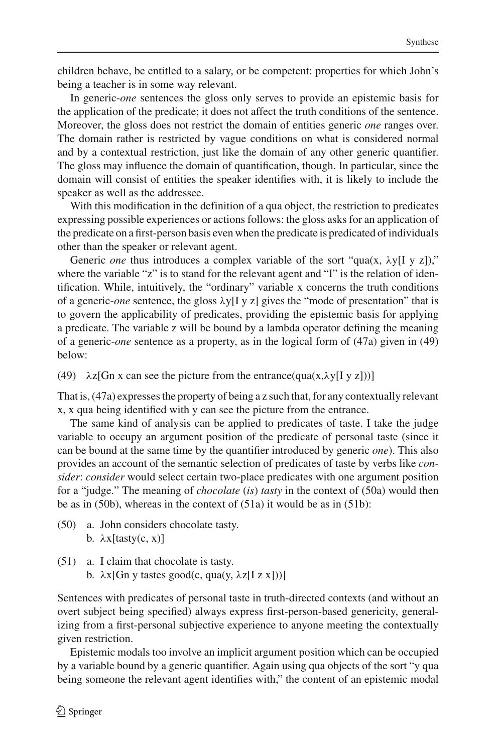children behave, be entitled to a salary, or be competent: properties for which John's being a teacher is in some way relevant.

In generic-*one* sentences the gloss only serves to provide an epistemic basis for the application of the predicate; it does not affect the truth conditions of the sentence. Moreover, the gloss does not restrict the domain of entities generic *one* ranges over. The domain rather is restricted by vague conditions on what is considered normal and by a contextual restriction, just like the domain of any other generic quantifier. The gloss may influence the domain of quantification, though. In particular, since the domain will consist of entities the speaker identifies with, it is likely to include the speaker as well as the addressee.

With this modification in the definition of a qua object, the restriction to predicates expressing possible experiences or actions follows: the gloss asks for an application of the predicate on a first-person basis even when the predicate is predicated of individuals other than the speaker or relevant agent.

Generic *one* thus introduces a complex variable of the sort "qua(x, λy[I y z])," where the variable "z" is to stand for the relevant agent and "I" is the relation of identification. While, intuitively, the "ordinary" variable x concerns the truth conditions of a generic-*one* sentence, the gloss λy[I y z] gives the "mode of presentation" that is to govern the applicability of predicates, providing the epistemic basis for applying a predicate. The variable z will be bound by a lambda operator defining the meaning of a generic-*one* sentence as a property, as in the logical form of (47a) given in (49) below:

(49)  $\lambda z$ [Gn x can see the picture from the entrance(qua(x, $\lambda y$ [I y z]))]

That is, (47a) expresses the property of being a z such that, for any contextually relevant x, x qua being identified with y can see the picture from the entrance.

The same kind of analysis can be applied to predicates of taste. I take the judge variable to occupy an argument position of the predicate of personal taste (since it can be bound at the same time by the quantifier introduced by generic *one*). This also provides an account of the semantic selection of predicates of taste by verbs like *consider*: *consider* would select certain two-place predicates with one argument position for a "judge." The meaning of *chocolate* (*is*) *tasty* in the context of (50a) would then be as in (50b), whereas in the context of (51a) it would be as in (51b):

- (50) a. John considers chocolate tasty. b.  $\lambda x$ [tasty(c, x)]
- (51) a. I claim that chocolate is tasty. b.  $\lambda x$ [Gn y tastes good(c, qua(y,  $\lambda z$ [I z x]))]

Sentences with predicates of personal taste in truth-directed contexts (and without an overt subject being specified) always express first-person-based genericity, generalizing from a first-personal subjective experience to anyone meeting the contextually given restriction.

Epistemic modals too involve an implicit argument position which can be occupied by a variable bound by a generic quantifier. Again using qua objects of the sort "y qua being someone the relevant agent identifies with," the content of an epistemic modal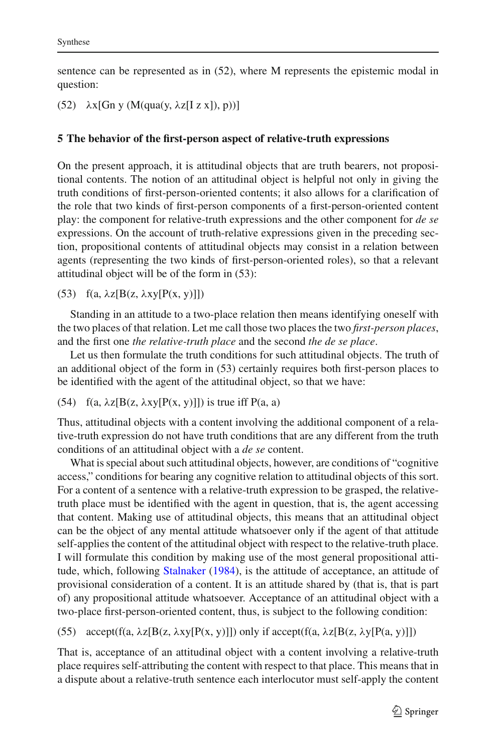sentence can be represented as in (52), where M represents the epistemic modal in question:

(52)  $\lambda x$ [Gn y (M(qua(y,  $\lambda z$ [I z x]), p))]

### **5 The behavior of the first-person aspect of relative-truth expressions**

On the present approach, it is attitudinal objects that are truth bearers, not propositional contents. The notion of an attitudinal object is helpful not only in giving the truth conditions of first-person-oriented contents; it also allows for a clarification of the role that two kinds of first-person components of a first-person-oriented content play: the component for relative-truth expressions and the other component for *de se* expressions. On the account of truth-relative expressions given in the preceding section, propositional contents of attitudinal objects may consist in a relation between agents (representing the two kinds of first-person-oriented roles), so that a relevant attitudinal object will be of the form in (53):

(53)  $f(a, \lambda z[B(z, \lambda xy[P(x, y)]])$ 

Standing in an attitude to a two-place relation then means identifying oneself with the two places of that relation. Let me call those two places the two *first-person places*, and the first one *the relative-truth place* and the second *the de se place*.

Let us then formulate the truth conditions for such attitudinal objects. The truth of an additional object of the form in (53) certainly requires both first-person places to be identified with the agent of the attitudinal object, so that we have:

(54) f(a,  $\lambda$ z[B(z,  $\lambda$ xy[P(x, y)]]) is true iff P(a, a)

Thus, attitudinal objects with a content involving the additional component of a relative-truth expression do not have truth conditions that are any different from the truth conditions of an attitudinal object with a *de se* content.

What is special about such attitudinal objects, however, are conditions of "cognitive access," conditions for bearing any cognitive relation to attitudinal objects of this sort. For a content of a sentence with a relative-truth expression to be grasped, the relativetruth place must be identified with the agent in question, that is, the agent accessing that content. Making use of attitudinal objects, this means that an attitudinal object can be the object of any mental attitude whatsoever only if the agent of that attitude self-applies the content of the attitudinal object with respect to the relative-truth place. I will formulate this condition by making use of the most general propositional attitude, which, following [Stalnaker](#page-20-16) [\(1984](#page-20-16)), is the attitude of acceptance, an attitude of provisional consideration of a content. It is an attitude shared by (that is, that is part of) any propositional attitude whatsoever. Acceptance of an attitudinal object with a two-place first-person-oriented content, thus, is subject to the following condition:

(55) accept(f(a,  $\lambda z[B(z, \lambda xy[P(x, y)]])$  only if accept(f(a,  $\lambda z[B(z, \lambda y[P(a, y)]])$ )

That is, acceptance of an attitudinal object with a content involving a relative-truth place requires self-attributing the content with respect to that place. This means that in a dispute about a relative-truth sentence each interlocutor must self-apply the content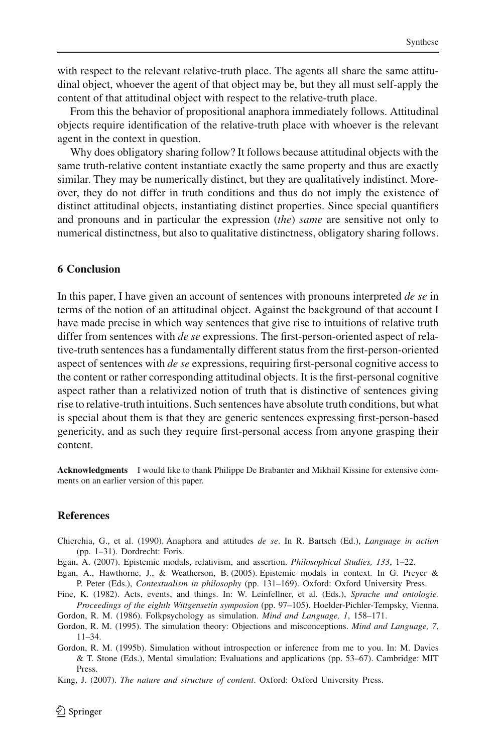with respect to the relevant relative-truth place. The agents all share the same attitudinal object, whoever the agent of that object may be, but they all must self-apply the content of that attitudinal object with respect to the relative-truth place.

From this the behavior of propositional anaphora immediately follows. Attitudinal objects require identification of the relative-truth place with whoever is the relevant agent in the context in question.

Why does obligatory sharing follow? It follows because attitudinal objects with the same truth-relative content instantiate exactly the same property and thus are exactly similar. They may be numerically distinct, but they are qualitatively indistinct. Moreover, they do not differ in truth conditions and thus do not imply the existence of distinct attitudinal objects, instantiating distinct properties. Since special quantifiers and pronouns and in particular the expression (*the*) *same* are sensitive not only to numerical distinctness, but also to qualitative distinctness, obligatory sharing follows.

### **6 Conclusion**

In this paper, I have given an account of sentences with pronouns interpreted *de se* in terms of the notion of an attitudinal object. Against the background of that account I have made precise in which way sentences that give rise to intuitions of relative truth differ from sentences with *de se* expressions. The first-person-oriented aspect of relative-truth sentences has a fundamentally different status from the first-person-oriented aspect of sentences with *de se* expressions, requiring first-personal cognitive access to the content or rather corresponding attitudinal objects. It is the first-personal cognitive aspect rather than a relativized notion of truth that is distinctive of sentences giving rise to relative-truth intuitions. Such sentences have absolute truth conditions, but what is special about them is that they are generic sentences expressing first-person-based genericity, and as such they require first-personal access from anyone grasping their content.

**Acknowledgments** I would like to thank Philippe De Brabanter and Mikhail Kissine for extensive comments on an earlier version of this paper.

#### **References**

- <span id="page-19-0"></span>Chierchia, G., et al. (1990). Anaphora and attitudes *de se*. In R. Bartsch (Ed.), *Language in action* (pp. 1–31). Dordrecht: Foris.
- <span id="page-19-3"></span>Egan, A. (2007). Epistemic modals, relativism, and assertion. *Philosophical Studies, 133*, 1–22.
- <span id="page-19-2"></span>Egan, A., Hawthorne, J., & Weatherson, B. (2005). Epistemic modals in context. In G. Preyer & P. Peter (Eds.), *Contextualism in philosophy* (pp. 131–169). Oxford: Oxford University Press.
- <span id="page-19-7"></span>Fine, K. (1982). Acts, events, and things. In: W. Leinfellner, et al. (Eds.), *Sprache und ontologie. Proceedings of the eighth Wittgensetin symposion* (pp. 97–105). Hoelder-Pichler-Tempsky, Vienna.
- <span id="page-19-4"></span>Gordon, R. M. (1986). Folkpsychology as simulation. *Mind and Language, 1*, 158–171.
- <span id="page-19-5"></span>Gordon, R. M. (1995). The simulation theory: Objections and misconceptions. *Mind and Language, 7*, 11–34.
- <span id="page-19-6"></span>Gordon, R. M. (1995b). Simulation without introspection or inference from me to you. In: M. Davies & T. Stone (Eds.), Mental simulation: Evaluations and applications (pp. 53–67). Cambridge: MIT Press.

<span id="page-19-1"></span>King, J. (2007). *The nature and structure of content*. Oxford: Oxford University Press.